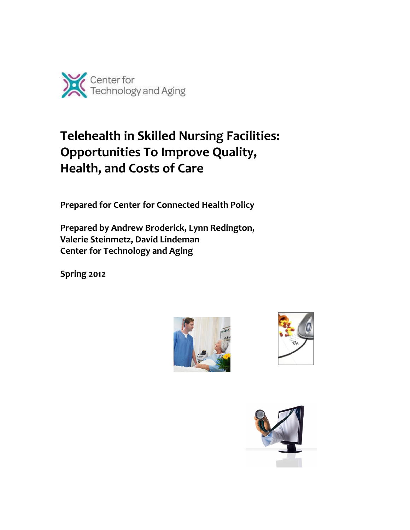

# **Telehealth in Skilled Nursing Facilities: Opportunities To Improve Quality, Health, and Costs of Care**

**Prepared for Center for Connected Health Policy** 

**Prepared by Andrew Broderick, Lynn Redington, Valerie Steinmetz, David Lindeman Center for Technology and Aging** 

**Spring 2012**





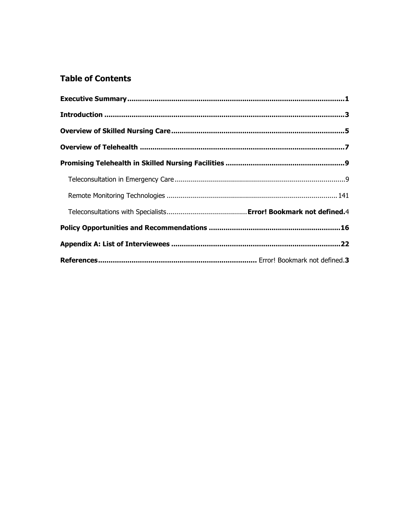# **Table of Contents**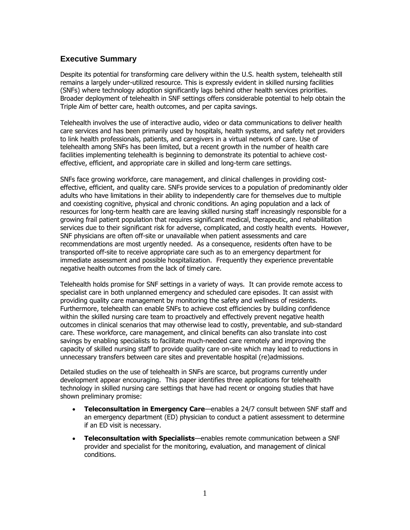# <span id="page-2-0"></span>**Executive Summary**

Despite its potential for transforming care delivery within the U.S. health system, telehealth still remains a largely under-utilized resource. This is expressly evident in skilled nursing facilities (SNFs) where technology adoption significantly lags behind other health services priorities. Broader deployment of telehealth in SNF settings offers considerable potential to help obtain the Triple Aim of better care, health outcomes, and per capita savings.

Telehealth involves the use of interactive audio, video or data communications to deliver health care services and has been primarily used by hospitals, health systems, and safety net providers to link health professionals, patients, and caregivers in a virtual network of care. Use of telehealth among SNFs has been limited, but a recent growth in the number of health care facilities implementing telehealth is beginning to demonstrate its potential to achieve costeffective, efficient, and appropriate care in skilled and long-term care settings.

SNFs face growing workforce, care management, and clinical challenges in providing costeffective, efficient, and quality care. SNFs provide services to a population of predominantly older adults who have limitations in their ability to independently care for themselves due to multiple and coexisting cognitive, physical and chronic conditions. An aging population and a lack of resources for long-term health care are leaving skilled nursing staff increasingly responsible for a growing frail patient population that requires significant medical, therapeutic, and rehabilitation services due to their significant risk for adverse, complicated, and costly health events. However, SNF physicians are often off-site or unavailable when patient assessments and care recommendations are most urgently needed. As a consequence, residents often have to be transported off-site to receive appropriate care such as to an emergency department for immediate assessment and possible hospitalization. Frequently they experience preventable negative health outcomes from the lack of timely care.

Telehealth holds promise for SNF settings in a variety of ways. It can provide remote access to specialist care in both unplanned emergency and scheduled care episodes. It can assist with providing quality care management by monitoring the safety and wellness of residents. Furthermore, telehealth can enable SNFs to achieve cost efficiencies by building confidence within the skilled nursing care team to proactively and effectively prevent negative health outcomes in clinical scenarios that may otherwise lead to costly, preventable, and sub-standard care. These workforce, care management, and clinical benefits can also translate into cost savings by enabling specialists to facilitate much-needed care remotely and improving the capacity of skilled nursing staff to provide quality care on-site which may lead to reductions in unnecessary transfers between care sites and preventable hospital (re)admissions.

Detailed studies on the use of telehealth in SNFs are scarce, but programs currently under development appear encouraging. This paper identifies three applications for telehealth technology in skilled nursing care settings that have had recent or ongoing studies that have shown preliminary promise:

- **Teleconsultation in Emergency Care**—enables a 24/7 consult between SNF staff and an emergency department (ED) physician to conduct a patient assessment to determine if an ED visit is necessary.
- **Teleconsultation with Specialists**—enables remote communication between a SNF provider and specialist for the monitoring, evaluation, and management of clinical conditions.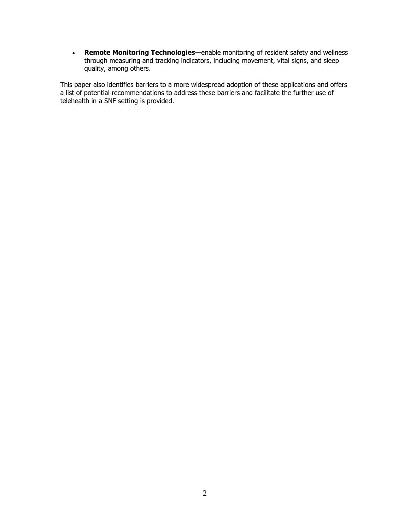**Remote Monitoring Technologies**—enable monitoring of resident safety and wellness through measuring and tracking indicators, including movement, vital signs, and sleep quality, among others.

This paper also identifies barriers to a more widespread adoption of these applications and offers a list of potential recommendations to address these barriers and facilitate the further use of telehealth in a SNF setting is provided.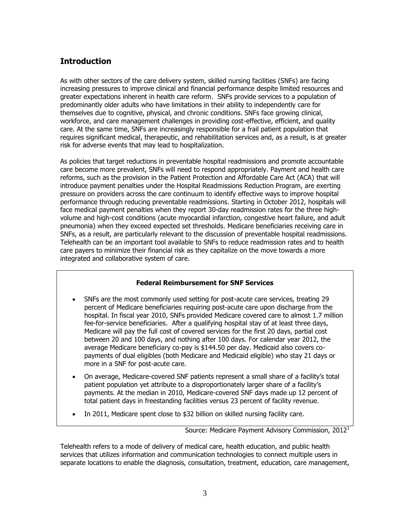# <span id="page-4-0"></span>**Introduction**

As with other sectors of the care delivery system, skilled nursing facilities (SNFs) are facing increasing pressures to improve clinical and financial performance despite limited resources and greater expectations inherent in health care reform. SNFs provide services to a population of predominantly older adults who have limitations in their ability to independently care for themselves due to cognitive, physical, and chronic conditions. SNFs face growing clinical, workforce, and care management challenges in providing cost-effective, efficient, and quality care. At the same time, SNFs are increasingly responsible for a frail patient population that requires significant medical, therapeutic, and rehabilitation services and, as a result, is at greater risk for adverse events that may lead to hospitalization.

As policies that target reductions in preventable hospital readmissions and promote accountable care become more prevalent, SNFs will need to respond appropriately. Payment and health care reforms, such as the provision in the Patient Protection and Affordable Care Act (ACA) that will introduce payment penalties under the Hospital Readmissions Reduction Program, are exerting pressure on providers across the care continuum to identify effective ways to improve hospital performance through reducing preventable readmissions. Starting in October 2012, hospitals will face medical payment penalties when they report 30-day readmission rates for the three highvolume and high-cost conditions (acute myocardial infarction, congestive heart failure, and adult pneumonia) when they exceed expected set thresholds. Medicare beneficiaries receiving care in SNFs, as a result, are particularly relevant to the discussion of preventable hospital readmissions. Telehealth can be an important tool available to SNFs to reduce readmission rates and to health care payers to minimize their financial risk as they capitalize on the move towards a more integrated and collaborative system of care.

# **Federal Reimbursement for SNF Services**

- SNFs are the most commonly used setting for post-acute care services, treating 29 percent of Medicare beneficiaries requiring post-acute care upon discharge from the hospital. In fiscal year 2010, SNFs provided Medicare covered care to almost 1.7 million fee-for-service beneficiaries. After a qualifying hospital stay of at least three days, Medicare will pay the full cost of covered services for the first 20 days, partial cost between 20 and 100 days, and nothing after 100 days. For calendar year 2012, the average Medicare beneficiary co-pay is \$144.50 per day. Medicaid also covers copayments of dual eligibles (both Medicare and Medicaid eligible) who stay 21 days or more in a SNF for post-acute care.
- On average, Medicare-covered SNF patients represent a small share of a facility's total patient population yet attribute to a disproportionately larger share of a facility's payments. At the median in 2010, Medicare-covered SNF days made up 12 percent of total patient days in freestanding facilities versus 23 percent of facility revenue.
- In 2011, Medicare spent close to \$32 billion on skilled nursing facility care.

Source: Medicare Payment Advisory Commission, 2012<sup>1</sup>

Telehealth refers to a mode of delivery of medical care, health education, and public health services that utilizes information and communication technologies to connect multiple users in separate locations to enable the diagnosis, consultation, treatment, education, care management,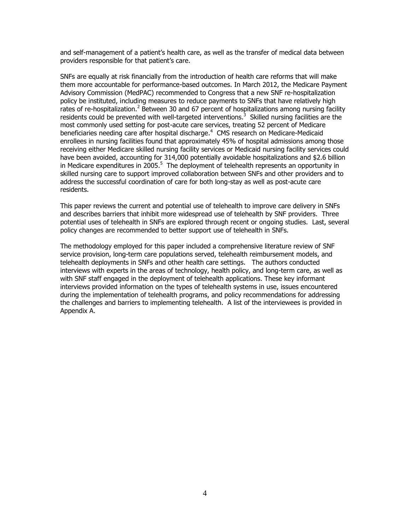and self-management of a patient's health care, as well as the transfer of medical data between providers responsible for that patient's care.

SNFs are equally at risk financially from the introduction of health care reforms that will make them more accountable for performance-based outcomes. In March 2012, the Medicare Payment Advisory Commission (MedPAC) recommended to Congress that a new SNF re-hospitalization policy be instituted, including measures to reduce payments to SNFs that have relatively high rates of re-hospitalization.<sup>2</sup> Between 30 and 67 percent of hospitalizations among nursing facility residents could be prevented with well-targeted interventions.<sup>3</sup> Skilled nursing facilities are the most commonly used setting for post-acute care services, treating 52 percent of Medicare beneficiaries needing care after hospital discharge. 4 CMS research on Medicare-Medicaid enrollees in nursing facilities found that approximately 45% of hospital admissions among those receiving either Medicare skilled nursing facility services or Medicaid nursing facility services could have been avoided, accounting for 314,000 potentially avoidable hospitalizations and \$2.6 billion in Medicare expenditures in 2005.<sup>5</sup> The deployment of telehealth represents an opportunity in skilled nursing care to support improved collaboration between SNFs and other providers and to address the successful coordination of care for both long-stay as well as post-acute care residents.

This paper reviews the current and potential use of telehealth to improve care delivery in SNFs and describes barriers that inhibit more widespread use of telehealth by SNF providers. Three potential uses of telehealth in SNFs are explored through recent or ongoing studies. Last, several policy changes are recommended to better support use of telehealth in SNFs.

The methodology employed for this paper included a comprehensive literature review of SNF service provision, long-term care populations served, telehealth reimbursement models, and telehealth deployments in SNFs and other health care settings. The authors conducted interviews with experts in the areas of technology, health policy, and long-term care, as well as with SNF staff engaged in the deployment of telehealth applications. These key informant interviews provided information on the types of telehealth systems in use, issues encountered during the implementation of telehealth programs, and policy recommendations for addressing the challenges and barriers to implementing telehealth. A list of the interviewees is provided in Appendix A.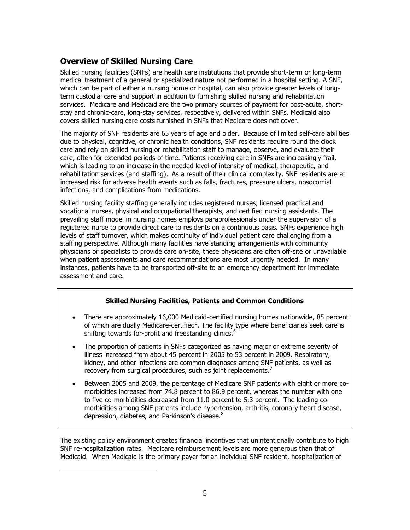# <span id="page-6-0"></span>**Overview of Skilled Nursing Care**

 $\overline{a}$ 

Skilled nursing facilities (SNFs) are health care institutions that provide short-term or long-term medical treatment of a general or specialized nature not performed in a hospital setting. A SNF, which can be part of either a nursing home or hospital, can also provide greater levels of longterm custodial care and support in addition to furnishing skilled nursing and rehabilitation services. Medicare and Medicaid are the two primary sources of payment for post-acute, shortstay and chronic-care, long-stay services, respectively, delivered within SNFs. Medicaid also covers skilled nursing care costs furnished in SNFs that Medicare does not cover.

The majority of SNF residents are 65 years of age and older. Because of limited self-care abilities due to physical, cognitive, or chronic health conditions, SNF residents require round the clock care and rely on skilled nursing or rehabilitation staff to manage, observe, and evaluate their care, often for extended periods of time. Patients receiving care in SNFs are increasingly frail, which is leading to an increase in the needed level of intensity of medical, therapeutic, and rehabilitation services (and staffing). As a result of their clinical complexity, SNF residents are at increased risk for adverse health events such as falls, fractures, pressure ulcers, nosocomial infections, and complications from medications.

Skilled nursing facility staffing generally includes registered nurses, licensed practical and vocational nurses, physical and occupational therapists, and certified nursing assistants. The prevailing staff model in nursing homes employs paraprofessionals under the supervision of a registered nurse to provide direct care to residents on a continuous basis. SNFs experience high levels of staff turnover, which makes continuity of individual patient care challenging from a staffing perspective. Although many facilities have standing arrangements with community physicians or specialists to provide care on-site, these physicians are often off-site or unavailable when patient assessments and care recommendations are most urgently needed. In many instances, patients have to be transported off-site to an emergency department for immediate assessment and care.

# **Skilled Nursing Facilities, Patients and Common Conditions**

- There are approximately 16,000 Medicaid-certified nursing homes nationwide, 85 percent of which are dually Medicare-certified<sup>1</sup>. The facility type where beneficiaries seek care is shifting towards for-profit and freestanding clinics.<sup>6</sup>
- The proportion of patients in SNFs categorized as having major or extreme severity of illness increased from about 45 percent in 2005 to 53 percent in 2009. Respiratory, kidney, and other infections are common diagnoses among SNF patients, as well as recovery from surgical procedures, such as joint replacements.<sup>7</sup>
- Between 2005 and 2009, the percentage of Medicare SNF patients with eight or more comorbidities increased from 74.8 percent to 86.9 percent, whereas the number with one to five co-morbidities decreased from 11.0 percent to 5.3 percent. The leading comorbidities among SNF patients include hypertension, arthritis, coronary heart disease, depression, diabetes, and Parkinson's disease.<sup>8</sup>

The existing policy environment creates financial incentives that unintentionally contribute to high SNF re-hospitalization rates. Medicare reimbursement levels are more generous than that of Medicaid. When Medicaid is the primary payer for an individual SNF resident, hospitalization of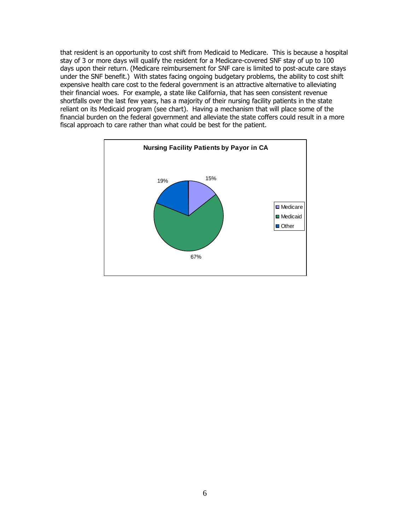that resident is an opportunity to cost shift from Medicaid to Medicare. This is because a hospital stay of 3 or more days will qualify the resident for a Medicare-covered SNF stay of up to 100 days upon their return. (Medicare reimbursement for SNF care is limited to post-acute care stays under the SNF benefit.) With states facing ongoing budgetary problems, the ability to cost shift expensive health care cost to the federal government is an attractive alternative to alleviating their financial woes. For example, a state like California, that has seen consistent revenue shortfalls over the last few years, has a majority of their nursing facility patients in the state reliant on its Medicaid program (see chart). Having a mechanism that will place some of the financial burden on the federal government and alleviate the state coffers could result in a more fiscal approach to care rather than what could be best for the patient.

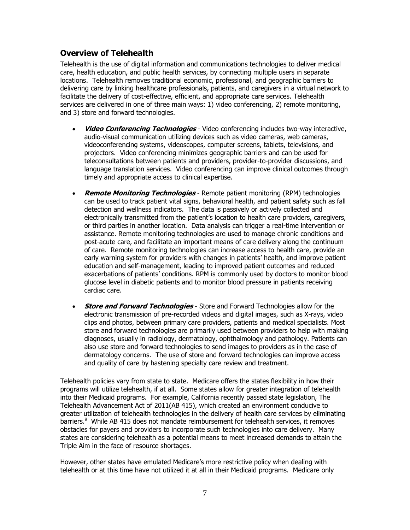# <span id="page-8-0"></span>**Overview of Telehealth**

Telehealth is the use of digital information and communications technologies to deliver medical care, health education, and public health services, by connecting multiple users in separate locations. Telehealth removes traditional economic, professional, and geographic barriers to delivering care by linking healthcare professionals, patients, and caregivers in a virtual network to facilitate the delivery of cost-effective, efficient, and appropriate care services. Telehealth services are delivered in one of three main ways: 1) video conferencing, 2) remote monitoring, and 3) store and forward technologies.

- **Video Conferencing Technologies**  Video conferencing includes two-way interactive, audio-visual communication utilizing devices such as video cameras, web cameras, videoconferencing systems, videoscopes, computer screens, tablets, televisions, and projectors. Video conferencing minimizes geographic barriers and can be used for teleconsultations between patients and providers, provider-to-provider discussions, and language translation services. Video conferencing can improve clinical outcomes through timely and appropriate access to clinical expertise.
- **Remote Monitoring Technologies**  Remote patient monitoring (RPM) technologies can be used to track patient vital signs, behavioral health, and patient safety such as fall detection and wellness indicators. The data is passively or actively collected and electronically transmitted from the patient's location to health care providers, caregivers, or third parties in another location. Data analysis can trigger a real-time intervention or assistance. Remote monitoring technologies are used to manage chronic conditions and post-acute care, and facilitate an important means of care delivery along the continuum of care. Remote monitoring technologies can increase access to health care, provide an early warning system for providers with changes in patients' health, and improve patient education and self-management, leading to improved patient outcomes and reduced exacerbations of patients' conditions. RPM is commonly used by doctors to monitor blood glucose level in diabetic patients and to monitor blood pressure in patients receiving cardiac care.
- **Store and Forward Technologies**  Store and Forward Technologies allow for the electronic transmission of pre-recorded videos and digital images, such as X-rays, video clips and photos, between primary care providers, patients and medical specialists. Most store and forward technologies are primarily used between providers to help with making diagnoses, usually in radiology, dermatology, ophthalmology and pathology. Patients can also use store and forward technologies to send images to providers as in the case of dermatology concerns. The use of store and forward technologies can improve access and quality of care by hastening specialty care review and treatment.

Telehealth policies vary from state to state. Medicare offers the states flexibility in how their programs will utilize telehealth, if at all. Some states allow for greater integration of telehealth into their Medicaid programs. For example, California recently passed state legislation, The Telehealth Advancement Act of 2011(AB 415), which created an environment conducive to greater utilization of telehealth technologies in the delivery of health care services by eliminating barriers.<sup>9</sup> While AB 415 does not mandate reimbursement for telehealth services, it removes obstacles for payers and providers to incorporate such technologies into care delivery. Many states are considering telehealth as a potential means to meet increased demands to attain the Triple Aim in the face of resource shortages.

However, other states have emulated Medicare's more restrictive policy when dealing with telehealth or at this time have not utilized it at all in their Medicaid programs. Medicare only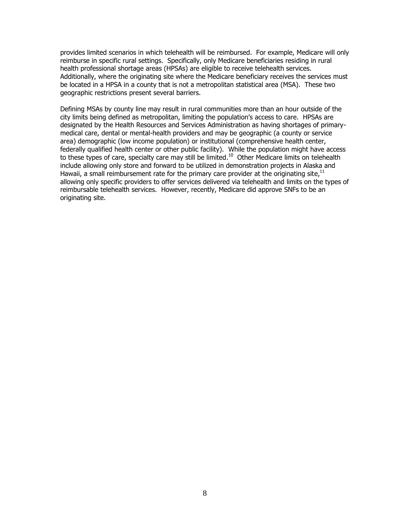provides limited scenarios in which telehealth will be reimbursed. For example, Medicare will only reimburse in specific rural settings. Specifically, only Medicare beneficiaries residing in rural health professional shortage areas (HPSAs) are eligible to receive telehealth services. Additionally, where the originating site where the Medicare beneficiary receives the services must be located in a HPSA in a county that is not a metropolitan statistical area (MSA). These two geographic restrictions present several barriers.

Defining MSAs by county line may result in rural communities more than an hour outside of the city limits being defined as metropolitan, limiting the population's access to care. HPSAs are designated by the Health Resources and Services Administration as having shortages of primarymedical care, dental or mental-health providers and may be geographic (a county or service area) demographic (low income population) or institutional (comprehensive health center, federally qualified health center or other public facility). While the population might have access to these types of care, specialty care may still be limited.<sup>10</sup> Other Medicare limits on telehealth include allowing only store and forward to be utilized in demonstration projects in Alaska and Hawaii, a small reimbursement rate for the primary care provider at the originating site,  $^{11}$ allowing only specific providers to offer services delivered via telehealth and limits on the types of reimbursable telehealth services. However, recently, Medicare did approve SNFs to be an originating site.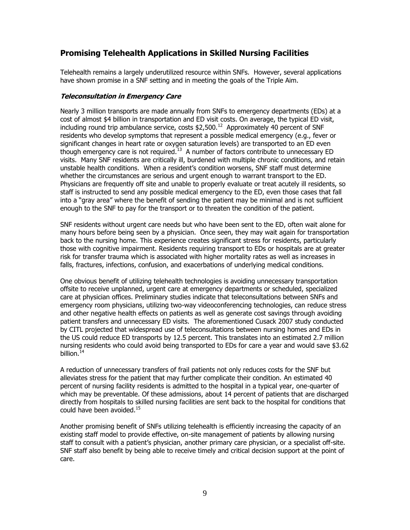# **Promising Telehealth Applications in Skilled Nursing Facilities**

Telehealth remains a largely underutilized resource within SNFs. However, several applications have shown promise in a SNF setting and in meeting the goals of the Triple Aim.

## **Teleconsultation in Emergency Care**

Nearly 3 million transports are made annually from SNFs to emergency departments (EDs) at a cost of almost \$4 billion in transportation and ED visit costs. On average, the typical ED visit, including round trip ambulance service, costs  $$2,500.<sup>12</sup>$  Approximately 40 percent of SNF residents who develop symptoms that represent a possible medical emergency (e.g., fever or significant changes in heart rate or oxygen saturation levels) are transported to an ED even though emergency care is not required. $^{13}$  A number of factors contribute to unnecessary ED visits. Many SNF residents are critically ill, burdened with multiple chronic conditions, and retain unstable health conditions. When a resident's condition worsens, SNF staff must determine whether the circumstances are serious and urgent enough to warrant transport to the ED. Physicians are frequently off site and unable to properly evaluate or treat acutely ill residents, so staff is instructed to send any possible medical emergency to the ED, even those cases that fall into a "gray area" where the benefit of sending the patient may be minimal and is not sufficient enough to the SNF to pay for the transport or to threaten the condition of the patient.

SNF residents without urgent care needs but who have been sent to the ED, often wait alone for many hours before being seen by a physician. Once seen, they may wait again for transportation back to the nursing home. This experience creates significant stress for residents, particularly those with cognitive impairment. Residents requiring transport to EDs or hospitals are at greater risk for transfer trauma which is associated with higher mortality rates as well as increases in falls, fractures, infections, confusion, and exacerbations of underlying medical conditions.

One obvious benefit of utilizing telehealth technologies is avoiding unnecessary transportation offsite to receive unplanned, urgent care at emergency departments or scheduled, specialized care at physician offices. Preliminary studies indicate that teleconsultations between SNFs and emergency room physicians, utilizing two-way videoconferencing technologies, can reduce stress and other negative health effects on patients as well as generate cost savings through avoiding patient transfers and unnecessary ED visits. The aforementioned Cusack 2007 study conducted by CITL projected that widespread use of teleconsultations between nursing homes and EDs in the US could reduce ED transports by 12.5 percent. This translates into an estimated 2.7 million nursing residents who could avoid being transported to EDs for care a year and would save \$3.62 billion.<sup>14</sup>

A reduction of unnecessary transfers of frail patients not only reduces costs for the SNF but alleviates stress for the patient that may further complicate their condition. An estimated 40 percent of nursing facility residents is admitted to the hospital in a typical year, one-quarter of which may be preventable. Of these admissions, about 14 percent of patients that are discharged directly from hospitals to skilled nursing facilities are sent back to the hospital for conditions that could have been avoided.<sup>15</sup>

Another promising benefit of SNFs utilizing telehealth is efficiently increasing the capacity of an existing staff model to provide effective, on-site management of patients by allowing nursing staff to consult with a patient's physician, another primary care physician, or a specialist off-site. SNF staff also benefit by being able to receive timely and critical decision support at the point of care.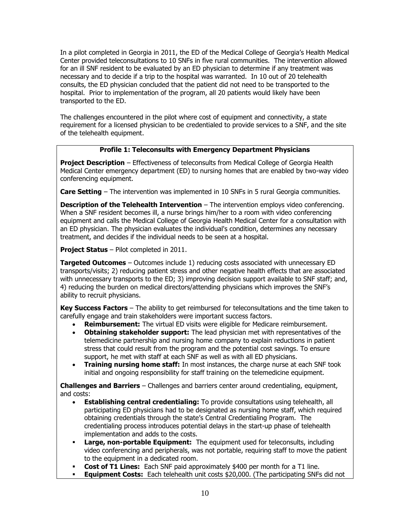In a pilot completed in Georgia in 2011, the ED of the Medical College of Georgia's Health Medical Center provided teleconsultations to 10 SNFs in five rural communities. The intervention allowed for an ill SNF resident to be evaluated by an ED physician to determine if any treatment was necessary and to decide if a trip to the hospital was warranted. In 10 out of 20 telehealth consults, the ED physician concluded that the patient did not need to be transported to the hospital. Prior to implementation of the program, all 20 patients would likely have been transported to the ED.

The challenges encountered in the pilot where cost of equipment and connectivity, a state requirement for a licensed physician to be credentialed to provide services to a SNF, and the site of the telehealth equipment.

# **Profile 1: Teleconsults with Emergency Department Physicians**

**Project Description** – Effectiveness of teleconsults from Medical College of Georgia Health Medical Center emergency department (ED) to nursing homes that are enabled by two-way video conferencing equipment.

**Care Setting** – The intervention was implemented in 10 SNFs in 5 rural Georgia communities.

**Description of the Telehealth Intervention** – The intervention employs video conferencing. When a SNF resident becomes ill, a nurse brings him/her to a room with video conferencing equipment and calls the Medical College of Georgia Health Medical Center for a consultation with an ED physician. The physician evaluates the individual's condition, determines any necessary treatment, and decides if the individual needs to be seen at a hospital.

**Project Status** – Pilot completed in 2011.

**Targeted Outcomes** – Outcomes include 1) reducing costs associated with unnecessary ED transports/visits; 2) reducing patient stress and other negative health effects that are associated with unnecessary transports to the ED; 3) improving decision support available to SNF staff; and, 4) reducing the burden on medical directors/attending physicians which improves the SNF's ability to recruit physicians.

**Key Success Factors** – The ability to get reimbursed for teleconsultations and the time taken to carefully engage and train stakeholders were important success factors.

- **Reimbursement:** The virtual ED visits were eligible for Medicare reimbursement.
- **Obtaining stakeholder support:** The lead physician met with representatives of the telemedicine partnership and nursing home company to explain reductions in patient stress that could result from the program and the potential cost savings. To ensure support, he met with staff at each SNF as well as with all ED physicians.
- **Training nursing home staff:** In most instances, the charge nurse at each SNF took initial and ongoing responsibility for staff training on the telemedicine equipment.

**Challenges and Barriers** – Challenges and barriers center around credentialing, equipment, and costs:

- **Establishing central credentialing:** To provide consultations using telehealth, all participating ED physicians had to be designated as nursing home staff, which required obtaining credentials through the state's Central Credentialing Program. The credentialing process introduces potential delays in the start-up phase of telehealth implementation and adds to the costs.
- **Large, non-portable Equipment:** The equipment used for teleconsults, including video conferencing and peripherals, was not portable, requiring staff to move the patient to the equipment in a dedicated room.
- **Cost of T1 Lines:** Each SNF paid approximately \$400 per month for a T1 line.
- **Equipment Costs:** Each telehealth unit costs \$20,000. (The participating SNFs did not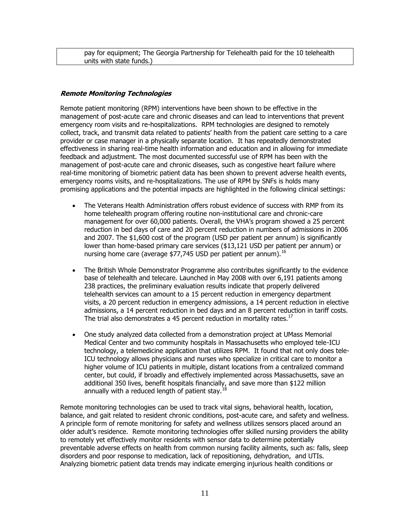pay for equipment; The Georgia Partnership for Telehealth paid for the 10 telehealth units with state funds.)

#### **Remote Monitoring Technologies**

Remote patient monitoring (RPM) interventions have been shown to be effective in the management of post-acute care and chronic diseases and can lead to interventions that prevent emergency room visits and re-hospitalizations. RPM technologies are designed to remotely collect, track, and transmit data related to patients' health from the patient care setting to a care provider or case manager in a physically separate location. It has repeatedly demonstrated effectiveness in sharing real-time health information and education and in allowing for immediate feedback and adjustment. The most documented successful use of RPM has been with the management of post-acute care and chronic diseases, such as congestive heart failure where real-time monitoring of biometric patient data has been shown to prevent adverse health events, emergency rooms visits, and re-hospitalizations. The use of RPM by SNFs is holds many promising applications and the potential impacts are highlighted in the following clinical settings:

- The Veterans Health Administration offers robust evidence of success with RMP from its home telehealth program offering routine non-institutional care and chronic-care management for over 60,000 patients. Overall, the VHA's program showed a 25 percent reduction in bed days of care and 20 percent reduction in numbers of admissions in 2006 and 2007. The \$1,600 cost of the program (USD per patient per annum) is significantly lower than home-based primary care services (\$13,121 USD per patient per annum) or nursing home care (average \$77,745 USD per patient per annum).<sup>16</sup>
- The British Whole Demonstrator Programme also contributes significantly to the evidence base of telehealth and telecare. Launched in May 2008 with over 6,191 patients among 238 practices, the preliminary evaluation results indicate that properly delivered telehealth services can amount to a 15 percent reduction in emergency department visits, a 20 percent reduction in emergency admissions, a 14 percent reduction in elective admissions, a 14 percent reduction in bed days and an 8 percent reduction in tariff costs. The trial also demonstrates a 45 percent reduction in mortality rates.<sup>17</sup>
- One study analyzed data collected from a demonstration project at UMass Memorial Medical Center and two community hospitals in Massachusetts who employed tele-ICU technology, a telemedicine application that utilizes RPM. It found that not only does tele-ICU technology allows physicians and nurses who specialize in critical care to monitor a higher volume of ICU patients in multiple, distant locations from a centralized command center, but could, if broadly and effectively implemented across Massachusetts, save an additional 350 lives, benefit hospitals financially, and save more than \$122 million annually with a reduced length of patient stay.<sup>18</sup>

Remote monitoring technologies can be used to track vital signs, behavioral health, location, balance, and gait related to resident chronic conditions, post-acute care, and safety and wellness. A principle form of remote monitoring for safety and wellness utilizes sensors placed around an older adult's residence. Remote monitoring technologies offer skilled nursing providers the ability to remotely yet effectively monitor residents with sensor data to determine potentially preventable adverse effects on health from common nursing facility ailments, such as: falls, sleep disorders and poor response to medication, lack of repositioning, dehydration, and UTIs. Analyzing biometric patient data trends may indicate emerging injurious health conditions or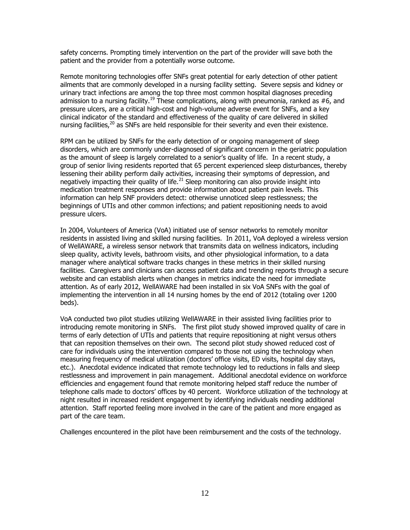safety concerns. Prompting timely intervention on the part of the provider will save both the patient and the provider from a potentially worse outcome.

Remote monitoring technologies offer SNFs great potential for early detection of other patient ailments that are commonly developed in a nursing facility setting. Severe sepsis and kidney or urinary tract infections are among the top three most common hospital diagnoses preceding admission to a nursing facility.<sup>19</sup> These complications, along with pneumonia, ranked as #6, and pressure ulcers, are a critical high-cost and high-volume adverse event for SNFs, and a key clinical indicator of the standard and effectiveness of the quality of care delivered in skilled nursing facilities, $2^0$  as SNFs are held responsible for their severity and even their existence.

RPM can be utilized by SNFs for the early detection of or ongoing management of sleep disorders, which are commonly under-diagnosed of significant concern in the geriatric population as the amount of sleep is largely correlated to a senior's quality of life. In a recent study, a group of senior living residents reported that 65 percent experienced sleep disturbances, thereby lessening their ability perform daily activities, increasing their symptoms of depression, and negatively impacting their quality of life.<sup>21</sup> Sleep monitoring can also provide insight into medication treatment responses and provide information about patient pain levels. This information can help SNF providers detect: otherwise unnoticed sleep restlessness; the beginnings of UTIs and other common infections; and patient repositioning needs to avoid pressure ulcers.

In 2004, Volunteers of America (VoA) initiated use of sensor networks to remotely monitor residents in assisted living and skilled nursing facilities. In 2011, VoA deployed a wireless version of WellAWARE, a wireless sensor network that transmits data on wellness indicators, including sleep quality, activity levels, bathroom visits, and other physiological information, to a data manager where analytical software tracks changes in these metrics in their skilled nursing facilities. Caregivers and clinicians can access patient data and trending reports through a secure website and can establish alerts when changes in metrics indicate the need for immediate attention. As of early 2012, WellAWARE had been installed in six VoA SNFs with the goal of implementing the intervention in all 14 nursing homes by the end of 2012 (totaling over 1200 beds).

VoA conducted two pilot studies utilizing WellAWARE in their assisted living facilities prior to introducing remote monitoring in SNFs. The first pilot study showed improved quality of care in terms of early detection of UTIs and patients that require repositioning at night versus others that can reposition themselves on their own. The second pilot study showed reduced cost of care for individuals using the intervention compared to those not using the technology when measuring frequency of medical utilization (doctors' office visits, ED visits, hospital day stays, etc.). Anecdotal evidence indicated that remote technology led to reductions in falls and sleep restlessness and improvement in pain management. Additional anecdotal evidence on workforce efficiencies and engagement found that remote monitoring helped staff reduce the number of telephone calls made to doctors' offices by 40 percent. Workforce utilization of the technology at night resulted in increased resident engagement by identifying individuals needing additional attention. Staff reported feeling more involved in the care of the patient and more engaged as part of the care team.

Challenges encountered in the pilot have been reimbursement and the costs of the technology.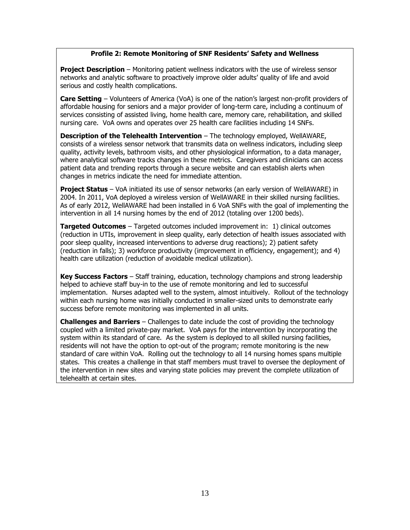## **Profile 2: Remote Monitoring of SNF Residents' Safety and Wellness**

**Project Description** – Monitoring patient wellness indicators with the use of wireless sensor networks and analytic software to proactively improve older adults' quality of life and avoid serious and costly health complications.

**Care Setting** – Volunteers of America (VoA) is one of the nation's largest non-profit providers of affordable housing for seniors and a major provider of long-term care, including a continuum of services consisting of assisted living, home health care, memory care, rehabilitation, and skilled nursing care. VoA owns and operates over 25 health care facilities including 14 SNFs.

**Description of the Telehealth Intervention** – The technology employed, WellAWARE, consists of a wireless sensor network that transmits data on wellness indicators, including sleep quality, activity levels, bathroom visits, and other physiological information, to a data manager, where analytical software tracks changes in these metrics. Caregivers and clinicians can access patient data and trending reports through a secure website and can establish alerts when changes in metrics indicate the need for immediate attention.

**Project Status** – VoA initiated its use of sensor networks (an early version of WellAWARE) in 2004. In 2011, VoA deployed a wireless version of WellAWARE in their skilled nursing facilities. As of early 2012, WellAWARE had been installed in 6 VoA SNFs with the goal of implementing the intervention in all 14 nursing homes by the end of 2012 (totaling over 1200 beds).

**Targeted Outcomes** – Targeted outcomes included improvement in: 1) clinical outcomes (reduction in UTIs, improvement in sleep quality, early detection of health issues associated with poor sleep quality, increased interventions to adverse drug reactions); 2) patient safety (reduction in falls); 3) workforce productivity (improvement in efficiency, engagement); and 4) health care utilization (reduction of avoidable medical utilization).

**Key Success Factors** – Staff training, education, technology champions and strong leadership helped to achieve staff buy-in to the use of remote monitoring and led to successful implementation. Nurses adapted well to the system, almost intuitively. Rollout of the technology within each nursing home was initially conducted in smaller-sized units to demonstrate early success before remote monitoring was implemented in all units.

**Challenges and Barriers** – Challenges to date include the cost of providing the technology coupled with a limited private-pay market. VoA pays for the intervention by incorporating the system within its standard of care. As the system is deployed to all skilled nursing facilities, residents will not have the option to opt-out of the program; remote monitoring is the new standard of care within VoA. Rolling out the technology to all 14 nursing homes spans multiple states. This creates a challenge in that staff members must travel to oversee the deployment of the intervention in new sites and varying state policies may prevent the complete utilization of telehealth at certain sites.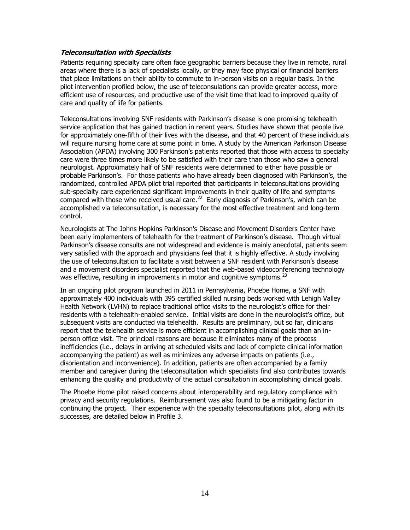#### **Teleconsultation with Specialists**

Patients requiring specialty care often face geographic barriers because they live in remote, rural areas where there is a lack of specialists locally, or they may face physical or financial barriers that place limitations on their ability to commute to in-person visits on a regular basis. In the pilot intervention profiled below, the use of teleconsulations can provide greater access, more efficient use of resources, and productive use of the visit time that lead to improved quality of care and quality of life for patients.

Teleconsultations involving SNF residents with Parkinson's disease is one promising telehealth service application that has gained traction in recent years. Studies have shown that people live for approximately one-fifth of their lives with the disease, and that 40 percent of these individuals will require nursing home care at some point in time. A study by the American Parkinson Disease Association (APDA) involving 300 Parkinson's patients reported that those with access to specialty care were three times more likely to be satisfied with their care than those who saw a general neurologist. Approximately half of SNF residents were determined to either have possible or probable Parkinson's. For those patients who have already been diagnosed with Parkinson's, the randomized, controlled APDA pilot trial reported that participants in teleconsultations providing sub-specialty care experienced significant improvements in their quality of life and symptoms compared with those who received usual care. $^{22}$  Early diagnosis of Parkinson's, which can be accomplished via teleconsultation, is necessary for the most effective treatment and long-term control.

Neurologists at The Johns Hopkins Parkinson's Disease and Movement Disorders Center have been early implementers of telehealth for the treatment of Parkinson's disease. Though virtual Parkinson's disease consults are not widespread and evidence is mainly anecdotal, patients seem very satisfied with the approach and physicians feel that it is highly effective. A study involving the use of teleconsultation to facilitate a visit between a SNF resident with Parkinson's disease and a movement disorders specialist reported that the web-based videoconferencing technology was effective, resulting in improvements in motor and cognitive symptoms.<sup>23</sup>

In an ongoing pilot program launched in 2011 in Pennsylvania, Phoebe Home, a SNF with approximately 400 individuals with 395 certified skilled nursing beds worked with Lehigh Valley Health Network (LVHN) to replace traditional office visits to the neurologist's office for their residents with a telehealth-enabled service. Initial visits are done in the neurologist's office, but subsequent visits are conducted via telehealth. Results are preliminary, but so far, clinicians report that the telehealth service is more efficient in accomplishing clinical goals than an inperson office visit. The principal reasons are because it eliminates many of the process inefficiencies (i.e., delays in arriving at scheduled visits and lack of complete clinical information accompanying the patient) as well as minimizes any adverse impacts on patients (i.e., disorientation and inconvenience). In addition, patients are often accompanied by a family member and caregiver during the teleconsultation which specialists find also contributes towards enhancing the quality and productivity of the actual consultation in accomplishing clinical goals.

The Phoebe Home pilot raised concerns about interoperability and regulatory compliance with privacy and security regulations. Reimbursement was also found to be a mitigating factor in continuing the project. Their experience with the specialty teleconsultations pilot, along with its successes, are detailed below in Profile 3.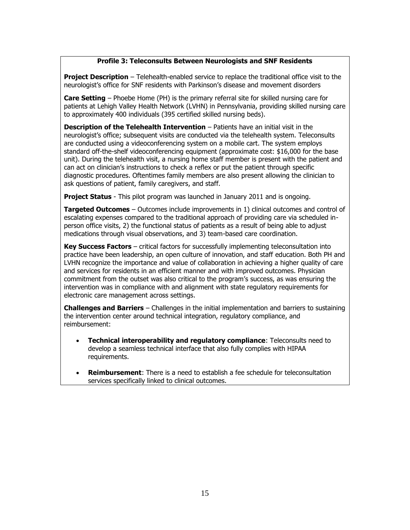# **Profile 3: Teleconsults Between Neurologists and SNF Residents**

**Project Description** – Telehealth-enabled service to replace the traditional office visit to the neurologist's office for SNF residents with Parkinson's disease and movement disorders

**Care Setting** – Phoebe Home (PH) is the primary referral site for skilled nursing care for patients at Lehigh Valley Health Network (LVHN) in Pennsylvania, providing skilled nursing care to approximately 400 individuals (395 certified skilled nursing beds).

**Description of the Telehealth Intervention** – Patients have an initial visit in the neurologist's office; subsequent visits are conducted via the telehealth system. Teleconsults are conducted using a videoconferencing system on a mobile cart. The system employs standard off-the-shelf videoconferencing equipment (approximate cost: \$16,000 for the base unit). During the telehealth visit, a nursing home staff member is present with the patient and can act on clinician's instructions to check a reflex or put the patient through specific diagnostic procedures. Oftentimes family members are also present allowing the clinician to ask questions of patient, family caregivers, and staff.

**Project Status** - This pilot program was launched in January 2011 and is ongoing.

**Targeted Outcomes** – Outcomes include improvements in 1) clinical outcomes and control of escalating expenses compared to the traditional approach of providing care via scheduled inperson office visits, 2) the functional status of patients as a result of being able to adjust medications through visual observations, and 3) team-based care coordination.

**Key Success Factors** – critical factors for successfully implementing teleconsultation into practice have been leadership, an open culture of innovation, and staff education. Both PH and LVHN recognize the importance and value of collaboration in achieving a higher quality of care and services for residents in an efficient manner and with improved outcomes. Physician commitment from the outset was also critical to the program's success, as was ensuring the intervention was in compliance with and alignment with state regulatory requirements for electronic care management across settings.

**Challenges and Barriers** – Challenges in the initial implementation and barriers to sustaining the intervention center around technical integration, regulatory compliance, and reimbursement:

- **Technical interoperability and regulatory compliance**: Teleconsults need to develop a seamless technical interface that also fully complies with HIPAA requirements.
- **Reimbursement**: There is a need to establish a fee schedule for teleconsultation services specifically linked to clinical outcomes.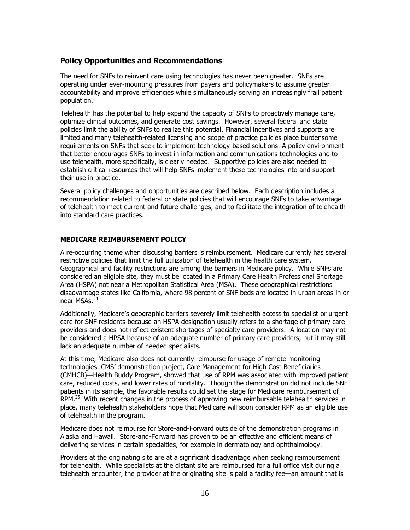# **Policy Opportunities and Recommendations**

The need for SNFs to reinvent care using technologies has never been greater. SNFs are operating under ever-mounting pressures from payers and policymakers to assume greater accountability and improve efficiencies while simultaneously serving an increasingly frail patient population.

Telehealth has the potential to help expand the capacity of SNFs to proactively manage care, optimize clinical outcomes, and generate cost savings. However, several federal and state policies limit the ability of SNFs to realize this potential. Financial incentives and supports are limited and many telehealth-related licensing and scope of practice policies place burdensome requirements on SNFs that seek to implement technology-based solutions. A policy environment that better encourages SNFs to invest in information and communications technologies and to use telehealth, more specifically, is clearly needed. Supportive policies are also needed to establish critical resources that will help SNFs implement these technologies into and support their use in practice.

Several policy challenges and opportunities are described below. Each description includes a recommendation related to federal or state policies that will encourage SNFs to take advantage of telehealth to meet current and future challenges, and to facilitate the integration of telehealth into standard care practices.

# **MEDICARE REIMBURSEMENT POLICY**

A re-occurring theme when discussing barriers is reimbursement. Medicare currently has several restrictive policies that limit the full utilization of telehealth in the health care system. Geographical and facility restrictions are among the barriers in Medicare policy. While SNFs are considered an eligible site, they must be located in a Primary Care Health Professional Shortage Area (HSPA) not near a Metropolitan Statistical Area (MSA). These geographical restrictions disadvantage states like California, where 98 percent of SNF beds are located in urban areas in or near MSAs.<sup>24</sup>

Additionally, Medicare's geographic barriers severely limit telehealth access to specialist or urgent care for SNF residents because an HSPA designation usually refers to a shortage of primary care providers and does not reflect existent shortages of specialty care providers. A location may not be considered a HPSA because of an adequate number of primary care providers, but it may still lack an adequate number of needed specialists.

At this time, Medicare also does not currently reimburse for usage of remote monitoring technologies. CMS' demonstration project, Care Management for High Cost Beneficiaries (CMHCB)—Health Buddy Program, showed that use of RPM was associated with improved patient care, reduced costs, and lower rates of mortality. Though the demonstration did not include SNF patients in its sample, the favorable results could set the stage for Medicare reimbursement of RPM.<sup>25</sup> With recent changes in the process of approving new reimbursable telehealth services in place, many telehealth stakeholders hope that Medicare will soon consider RPM as an eligible use of telehealth in the program.

Medicare does not reimburse for Store-and-Forward outside of the demonstration programs in Alaska and Hawaii. Store-and-Forward has proven to be an effective and efficient means of delivering services in certain specialties, for example in dermatology and ophthalmology.

Providers at the originating site are at a significant disadvantage when seeking reimbursement for telehealth. While specialists at the distant site are reimbursed for a full office visit during a telehealth encounter, the provider at the originating site is paid a facility fee—an amount that is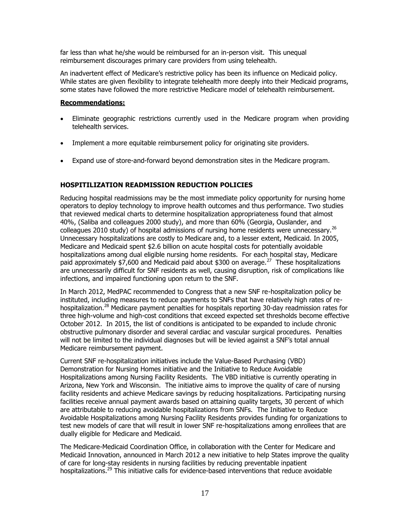far less than what he/she would be reimbursed for an in-person visit. This unequal reimbursement discourages primary care providers from using telehealth.

An inadvertent effect of Medicare's restrictive policy has been its influence on Medicaid policy. While states are given flexibility to integrate telehealth more deeply into their Medicaid programs, some states have followed the more restrictive Medicare model of telehealth reimbursement.

#### **Recommendations:**

- Eliminate geographic restrictions currently used in the Medicare program when providing telehealth services.
- Implement a more equitable reimbursement policy for originating site providers.
- Expand use of store-and-forward beyond demonstration sites in the Medicare program.

#### **HOSPITILIZATION READMISSION REDUCTION POLICIES**

Reducing hospital readmissions may be the most immediate policy opportunity for nursing home operators to deploy technology to improve health outcomes and thus performance. Two studies that reviewed medical charts to determine hospitalization appropriateness found that almost 40%, (Saliba and colleagues 2000 study), and more than 60% (Georgia, Ouslander, and colleagues 2010 study) of hospital admissions of nursing home residents were unnecessary.<sup>26</sup> Unnecessary hospitalizations are costly to Medicare and, to a lesser extent, Medicaid. In 2005, Medicare and Medicaid spent \$2.6 billion on acute hospital costs for potentially avoidable hospitalizations among dual eligible nursing home residents. For each hospital stay, Medicare paid approximately  $$7,600$  and Medicaid paid about \$300 on average.<sup>27</sup> These hospitalizations are unnecessarily difficult for SNF residents as well, causing disruption, risk of complications like infections, and impaired functioning upon return to the SNF.

In March 2012, MedPAC recommended to Congress that a new SNF re-hospitalization policy be instituted, including measures to reduce payments to SNFs that have relatively high rates of rehospitalization.<sup>28</sup> Medicare payment penalties for hospitals reporting 30-day readmission rates for three high-volume and high-cost conditions that exceed expected set thresholds become effective October 2012. In 2015, the list of conditions is anticipated to be expanded to include chronic obstructive pulmonary disorder and several cardiac and vascular surgical procedures. Penalties will not be limited to the individual diagnoses but will be levied against a SNF's total annual Medicare reimbursement payment.

Current SNF re-hospitalization initiatives include the Value-Based Purchasing (VBD) Demonstration for Nursing Homes initiative and the Initiative to Reduce Avoidable Hospitalizations among Nursing Facility Residents. The VBD initiative is currently operating in Arizona, New York and Wisconsin. The initiative aims to improve the quality of care of nursing facility residents and achieve Medicare savings by reducing hospitalizations. Participating nursing facilities receive annual payment awards based on attaining quality targets, 30 percent of which are attributable to reducing avoidable hospitalizations from SNFs. The Initiative to Reduce Avoidable Hospitalizations among Nursing Facility Residents provides funding for organizations to test new models of care that will result in lower SNF re-hospitalizations among enrollees that are dually eligible for Medicare and Medicaid.

The Medicare-Medicaid Coordination Office, in collaboration with the Center for Medicare and Medicaid Innovation, announced in March 2012 a new initiative to help States improve the quality of care for long-stay residents in nursing facilities by reducing preventable inpatient hospitalizations.<sup>29</sup> This initiative calls for evidence-based interventions that reduce avoidable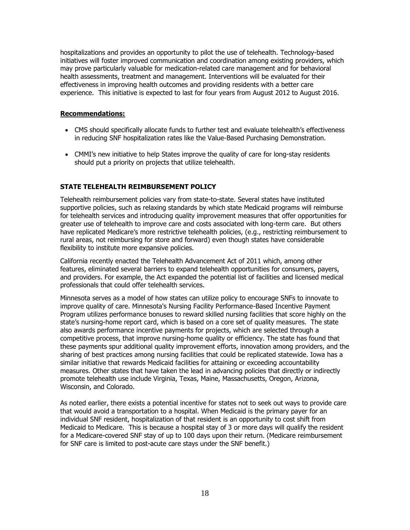hospitalizations and provides an opportunity to pilot the use of telehealth. Technology-based initiatives will foster improved communication and coordination among existing providers, which may prove particularly valuable for medication-related care management and for behavioral health assessments, treatment and management. Interventions will be evaluated for their effectiveness in improving health outcomes and providing residents with a better care experience. This initiative is expected to last for four years from August 2012 to August 2016.

## **Recommendations:**

- CMS should specifically allocate funds to further test and evaluate telehealth's effectiveness in reducing SNF hospitalization rates like the Value-Based Purchasing Demonstration.
- CMMI's new initiative to help States improve the quality of care for long-stay residents should put a priority on projects that utilize telehealth.

# **STATE TELEHEALTH REIMBURSEMENT POLICY**

Telehealth reimbursement policies vary from state-to-state. Several states have instituted supportive policies, such as relaxing standards by which state Medicaid programs will reimburse for telehealth services and introducing quality improvement measures that offer opportunities for greater use of telehealth to improve care and costs associated with long-term care. But others have replicated Medicare's more restrictive telehealth policies, (e.g., restricting reimbursement to rural areas, not reimbursing for store and forward) even though states have considerable flexibility to institute more expansive policies.

California recently enacted the Telehealth Advancement Act of 2011 which, among other features, eliminated several barriers to expand telehealth opportunities for consumers, payers, and providers. For example, the Act expanded the potential list of facilities and licensed medical professionals that could offer telehealth services.

Minnesota serves as a model of how states can utilize policy to encourage SNFs to innovate to improve quality of care. Minnesota's Nursing Facility Performance-Based Incentive Payment Program utilizes performance bonuses to reward skilled nursing facilities that score highly on the state's nursing-home report card, which is based on a core set of quality measures. The state also awards performance incentive payments for projects, which are selected through a competitive process, that improve nursing-home quality or efficiency. The state has found that these payments spur additional quality improvement efforts, innovation among providers, and the sharing of best practices among nursing facilities that could be replicated statewide. Iowa has a similar initiative that rewards Medicaid facilities for attaining or exceeding accountability measures. Other states that have taken the lead in advancing policies that directly or indirectly promote telehealth use include Virginia, Texas, Maine, Massachusetts, Oregon, Arizona, Wisconsin, and Colorado.

As noted earlier, there exists a potential incentive for states not to seek out ways to provide care that would avoid a transportation to a hospital. When Medicaid is the primary payer for an individual SNF resident, hospitalization of that resident is an opportunity to cost shift from Medicaid to Medicare. This is because a hospital stay of 3 or more days will qualify the resident for a Medicare-covered SNF stay of up to 100 days upon their return. (Medicare reimbursement for SNF care is limited to post-acute care stays under the SNF benefit.)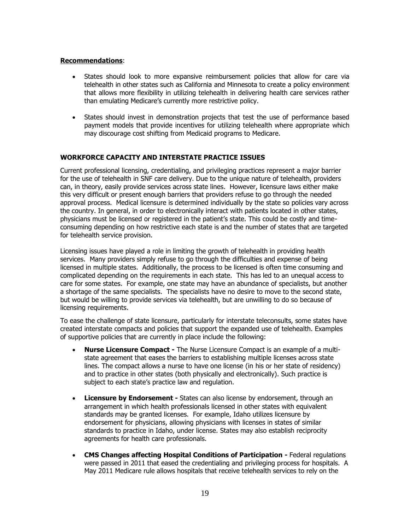#### **Recommendations**:

- States should look to more expansive reimbursement policies that allow for care via telehealth in other states such as California and Minnesota to create a policy environment that allows more flexibility in utilizing telehealth in delivering health care services rather than emulating Medicare's currently more restrictive policy.
- States should invest in demonstration projects that test the use of performance based payment models that provide incentives for utilizing telehealth where appropriate which may discourage cost shifting from Medicaid programs to Medicare.

#### **WORKFORCE CAPACITY AND INTERSTATE PRACTICE ISSUES**

Current professional licensing, credentialing, and privileging practices represent a major barrier for the use of telehealth in SNF care delivery. Due to the unique nature of telehealth, providers can, in theory, easily provide services across state lines. However, licensure laws either make this very difficult or present enough barriers that providers refuse to go through the needed approval process. Medical licensure is determined individually by the state so policies vary across the country. In general, in order to electronically interact with patients located in other states, physicians must be licensed or registered in the patient's state. This could be costly and timeconsuming depending on how restrictive each state is and the number of states that are targeted for telehealth service provision.

Licensing issues have played a role in limiting the growth of telehealth in providing health services. Many providers simply refuse to go through the difficulties and expense of being licensed in multiple states. Additionally, the process to be licensed is often time consuming and complicated depending on the requirements in each state. This has led to an unequal access to care for some states. For example, one state may have an abundance of specialists, but another a shortage of the same specialists. The specialists have no desire to move to the second state, but would be willing to provide services via telehealth, but are unwilling to do so because of licensing requirements.

To ease the challenge of state licensure, particularly for interstate teleconsults, some states have created interstate compacts and policies that support the expanded use of telehealth. Examples of supportive policies that are currently in place include the following:

- **Nurse Licensure Compact -** The Nurse Licensure Compact is an example of a multistate agreement that eases the barriers to establishing multiple licenses across state lines. The compact allows a nurse to have one license (in his or her state of residency) and to practice in other states (both physically and electronically). Such practice is subject to each state's practice law and regulation.
- **Licensure by Endorsement -** States can also license by endorsement, through an arrangement in which health professionals licensed in other states with equivalent standards may be granted licenses. For example, Idaho utilizes licensure by endorsement for physicians, allowing physicians with licenses in states of similar standards to practice in Idaho, under license. States may also establish reciprocity agreements for health care professionals.
- **CMS Changes affecting Hospital Conditions of Participation -** Federal regulations were passed in 2011 that eased the credentialing and privileging process for hospitals. A May 2011 Medicare rule allows hospitals that receive telehealth services to rely on the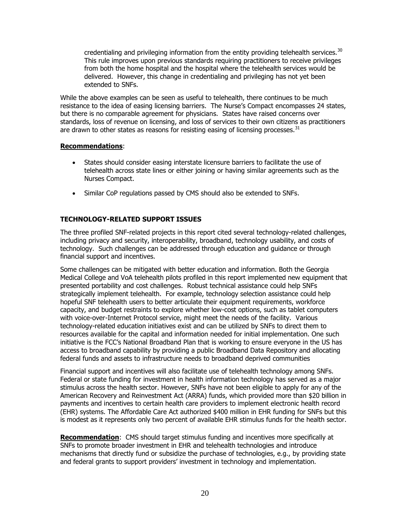credentialing and privileging information from the entity providing telehealth services. $30$ This rule improves upon previous standards requiring practitioners to receive privileges from both the home hospital and the hospital where the telehealth services would be delivered. However, this change in credentialing and privileging has not yet been extended to SNFs.

While the above examples can be seen as useful to telehealth, there continues to be much resistance to the idea of easing licensing barriers. The Nurse's Compact encompasses 24 states, but there is no comparable agreement for physicians. States have raised concerns over standards, loss of revenue on licensing, and loss of services to their own citizens as practitioners are drawn to other states as reasons for resisting easing of licensing processes.  $31$ 

#### **Recommendations**:

- States should consider easing interstate licensure barriers to facilitate the use of telehealth across state lines or either joining or having similar agreements such as the Nurses Compact.
- Similar CoP regulations passed by CMS should also be extended to SNFs.

# **TECHNOLOGY-RELATED SUPPORT ISSUES**

The three profiled SNF-related projects in this report cited several technology-related challenges, including privacy and security, interoperability, broadband, technology usability, and costs of technology. Such challenges can be addressed through education and guidance or through financial support and incentives.

Some challenges can be mitigated with better education and information. Both the Georgia Medical College and VoA telehealth pilots profiled in this report implemented new equipment that presented portability and cost challenges. Robust technical assistance could help SNFs strategically implement telehealth. For example, technology selection assistance could help hopeful SNF telehealth users to better articulate their equipment requirements, workforce capacity, and budget restraints to explore whether low-cost options, such as tablet computers with voice-over-Internet Protocol service, might meet the needs of the facility. Various technology-related education initiatives exist and can be utilized by SNFs to direct them to resources available for the capital and information needed for initial implementation. One such initiative is the FCC's National Broadband Plan that is working to ensure everyone in the US has access to broadband capability by providing a public Broadband Data Repository and allocating federal funds and assets to infrastructure needs to broadband deprived communities

Financial support and incentives will also facilitate use of telehealth technology among SNFs. Federal or state funding for investment in health information technology has served as a major stimulus across the health sector. However, SNFs have not been eligible to apply for any of the American Recovery and Reinvestment Act (ARRA) funds, which provided more than \$20 billion in payments and incentives to certain health care providers to implement electronic health record (EHR) systems. The Affordable Care Act authorized \$400 million in EHR funding for SNFs but this is modest as it represents only two percent of available EHR stimulus funds for the health sector.

**Recommendation**: CMS should target stimulus funding and incentives more specifically at SNFs to promote broader investment in EHR and telehealth technologies and introduce mechanisms that directly fund or subsidize the purchase of technologies, e.g., by providing state and federal grants to support providers' investment in technology and implementation.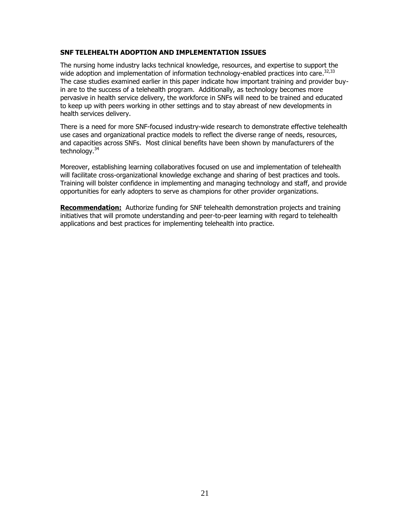#### **SNF TELEHEALTH ADOPTION AND IMPLEMENTATION ISSUES**

The nursing home industry lacks technical knowledge, resources, and expertise to support the wide adoption and implementation of information technology-enabled practices into care.<sup>32,33</sup> The case studies examined earlier in this paper indicate how important training and provider buyin are to the success of a telehealth program. Additionally, as technology becomes more pervasive in health service delivery, the workforce in SNFs will need to be trained and educated to keep up with peers working in other settings and to stay abreast of new developments in health services delivery.

There is a need for more SNF-focused industry-wide research to demonstrate effective telehealth use cases and organizational practice models to reflect the diverse range of needs, resources, and capacities across SNFs. Most clinical benefits have been shown by manufacturers of the technology.<sup>34</sup>

Moreover, establishing learning collaboratives focused on use and implementation of telehealth will facilitate cross-organizational knowledge exchange and sharing of best practices and tools. Training will bolster confidence in implementing and managing technology and staff, and provide opportunities for early adopters to serve as champions for other provider organizations.

**Recommendation:** Authorize funding for SNF telehealth demonstration projects and training initiatives that will promote understanding and peer-to-peer learning with regard to telehealth applications and best practices for implementing telehealth into practice.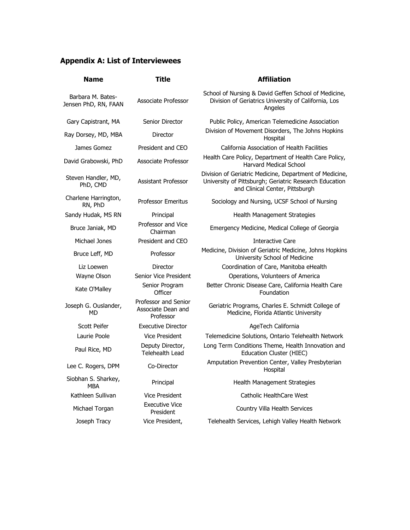# **Appendix A: List of Interviewees**

| <b>Name</b>                               | <b>Title</b>                                            | <b>Affiliation</b>                                                                                                                                   |
|-------------------------------------------|---------------------------------------------------------|------------------------------------------------------------------------------------------------------------------------------------------------------|
| Barbara M. Bates-<br>Jensen PhD, RN, FAAN | Associate Professor                                     | School of Nursing & David Geffen School of Medicine,<br>Division of Geriatrics University of California, Los<br>Angeles                              |
| Gary Capistrant, MA                       | Senior Director                                         | Public Policy, American Telemedicine Association                                                                                                     |
| Ray Dorsey, MD, MBA                       | Director                                                | Division of Movement Disorders, The Johns Hopkins<br>Hospital                                                                                        |
| James Gomez                               | President and CEO                                       | California Association of Health Facilities                                                                                                          |
| David Grabowski, PhD                      | Associate Professor                                     | Health Care Policy, Department of Health Care Policy,<br><b>Harvard Medical School</b>                                                               |
| Steven Handler, MD,<br>PhD, CMD           | <b>Assistant Professor</b>                              | Division of Geriatric Medicine, Department of Medicine,<br>University of Pittsburgh; Geriatric Research Education<br>and Clinical Center, Pittsburgh |
| Charlene Harrington,<br>RN, PhD           | <b>Professor Emeritus</b>                               | Sociology and Nursing, UCSF School of Nursing                                                                                                        |
| Sandy Hudak, MS RN                        | Principal                                               | Health Management Strategies                                                                                                                         |
| Bruce Janiak, MD                          | Professor and Vice<br>Chairman                          | Emergency Medicine, Medical College of Georgia                                                                                                       |
| Michael Jones                             | President and CEO                                       | Interactive Care                                                                                                                                     |
| Bruce Leff, MD                            | Professor                                               | Medicine, Division of Geriatric Medicine, Johns Hopkins<br>University School of Medicine                                                             |
| Liz Loewen                                | Director                                                | Coordination of Care, Manitoba eHealth                                                                                                               |
| Wayne Olson                               | Senior Vice President                                   | Operations, Volunteers of America                                                                                                                    |
| Kate O'Malley                             | Senior Program<br>Officer                               | Better Chronic Disease Care, California Health Care<br>Foundation                                                                                    |
| Joseph G. Ouslander,<br>MD                | Professor and Senior<br>Associate Dean and<br>Professor | Geriatric Programs, Charles E. Schmidt College of<br>Medicine, Florida Atlantic University                                                           |
| <b>Scott Peifer</b>                       | <b>Executive Director</b>                               | AgeTech California                                                                                                                                   |
| Laurie Poole                              | <b>Vice President</b>                                   | Telemedicine Solutions, Ontario Telehealth Network                                                                                                   |
| Paul Rice, MD                             | Deputy Director,<br>Telehealth Lead                     | Long Term Conditions Theme, Health Innovation and<br>Education Cluster (HIEC)                                                                        |
| Lee C. Rogers, DPM                        | Co-Director                                             | Amputation Prevention Center, Valley Presbyterian<br>Hospital                                                                                        |
| Siobhan S. Sharkey,<br><b>MBA</b>         | Principal                                               | Health Management Strategies                                                                                                                         |
| Kathleen Sullivan                         | <b>Vice President</b>                                   | Catholic HealthCare West                                                                                                                             |
| Michael Torgan                            | <b>Executive Vice</b><br>President                      | Country Villa Health Services                                                                                                                        |
| Joseph Tracy                              | Vice President,                                         | Telehealth Services, Lehigh Valley Health Network                                                                                                    |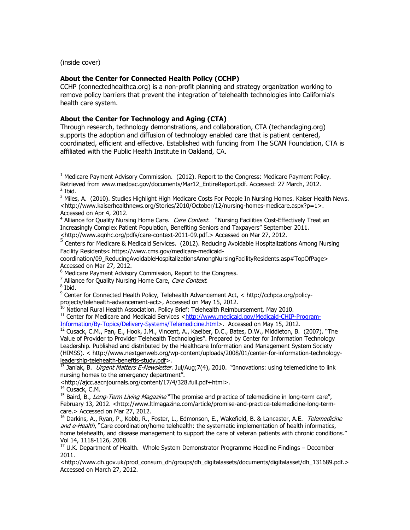(inside cover)

#### **About the Center for Connected Health Policy (CCHP)**

CCHP (connectedhealthca.org) is a non-profit planning and strategy organization working to remove policy barriers that prevent the integration of telehealth technologies into California's health care system.

#### **About the Center for Technology and Aging (CTA)**

Through research, technology demonstrations, and collaboration, CTA (techandaging.org) supports the adoption and diffusion of technology enabled care that is patient centered, coordinated, efficient and effective. Established with funding from The SCAN Foundation, CTA is affiliated with the Public Health Institute in Oakland, CA.

 $\overline{a}$ 

<sup>&</sup>lt;sup>1</sup> Medicare Payment Advisory Commission. (2012). Report to the Congress: Medicare Payment Policy. Retrieved from www.medpac.gov/documents/Mar12\_EntireReport.pdf. Accessed: 27 March, 2012. <sup>2</sup> Ibid.

<sup>&</sup>lt;sup>3</sup> Miles, A. (2010). Studies Highlight High Medicare Costs For People In Nursing Homes. Kaiser Health News. <http://www.kaiserhealthnews.org/Stories/2010/October/12/nursing-homes-medicare.aspx?p=1>. Accessed on Apr 4, 2012.

<sup>&</sup>lt;sup>4</sup> Alliance for Quality Nursing Home Care. *Care Context.* "Nursing Facilities Cost-Effectively Treat an Increasingly Complex Patient Population, Benefiting Seniors and Taxpayers" September 2011. <http://www.aqnhc.org/pdfs/care-context-2011-09.pdf.> Accessed on Mar 27, 2012.

 $^5$  Centers for Medicare & Medicaid Services. (2012). Reducing Avoidable Hospitalizations Among Nursing Facility Residents< https://www.cms.gov/medicare-medicaid-

coordination/09\_ReducingAvoidableHospitalizationsAmongNursingFacilityResidents.asp#TopOfPage> Accessed on Mar 27, 2012.

<sup>&</sup>lt;sup>6</sup> Medicare Payment Advisory Commission, Report to the Congress.

<sup>&</sup>lt;sup>7</sup> Alliance for Quality Nursing Home Care, Care Context.

<sup>&</sup>lt;sup>8</sup> Ibid.

<sup>&</sup>lt;sup>9</sup> Center for Connected Health Policy, Telehealth Advancement Act, < [http://cchpca.org/policy](http://cchpca.org/policy-projects/telehealth-advancement-act)[projects/telehealth-advancement-act>](http://cchpca.org/policy-projects/telehealth-advancement-act), Accessed on May 15, 2012.

<sup>&</sup>lt;sup>10</sup> National Rural Health Association. Policy Brief: Telehealth Reimbursement, May 2010.

<sup>&</sup>lt;sup>11</sup> Center for Medicare and Medicaid Services [<http://www.medicaid.gov/Medicaid-CHIP-Program-](http://www.medicaid.gov/Medicaid-CHIP-Program-Information/By-Topics/Delivery-Systems/Telemedicine.html)[Information/By-Topics/Delivery-Systems/Telemedicine.html>](http://www.medicaid.gov/Medicaid-CHIP-Program-Information/By-Topics/Delivery-Systems/Telemedicine.html). Accessed on May 15, 2012.

 $^{12}$  Cusack, C.M., Pan, E., Hook, J.M., Vincent, A., Kaelber, D.C., Bates, D.W., Middleton, B. (2007). "The Value of Provider to Provider Telehealth Technologies". Prepared by Center for Information Technology Leadership. Published and distributed by the Healthcare Information and Management System Society (HIMSS). < [http://www.nextgenweb.org/wp-content/uploads/2008/01/center-for-information-technology](http://www.nextgenweb.org/wp-content/uploads/2008/01/center-for-information-technology-leadership-telehealth-beneftis-study.pdf)[leadership-telehealth-beneftis-study.pdf>](http://www.nextgenweb.org/wp-content/uploads/2008/01/center-for-information-technology-leadership-telehealth-beneftis-study.pdf).

<sup>&</sup>lt;sup>13</sup> Janiak, B. *Urgent Matters E-Newsletter*. Jul/Aug;7(4), 2010. "Innovations: using telemedicine to link nursing homes to the emergency department".

<sup>&</sup>lt;http://ajcc.aacnjournals.org/content/17/4/328.full.pdf+html>.

<sup>&</sup>lt;sup>14</sup> Cusack, C.M.

<sup>&</sup>lt;sup>15</sup> Baird, B., Long-Term Living Magazine "The promise and practice of telemedicine in long-term care", February 13, 2012. <http://www.ltlmagazine.com/article/promise-and-practice-telemedicine-long-termcare.> Accessed on Mar 27, 2012.

<sup>&</sup>lt;sup>16</sup> Darkins, A., Ryan, P., Kobb, R., Foster, L., Edmonson, E., Wakefield, B. & Lancaster, A.E. *Telemedicine* and e-Health, "Care coordination/home telehealth: the systematic implementation of health informatics, home telehealth, and disease management to support the care of veteran patients with chronic conditions." Vol 14, 1118-1126, 2008.

 $17$  U.K. Department of Health. Whole System Demonstrator Programme Headline Findings – December 2011.

<sup>&</sup>lt;http://www.dh.gov.uk/prod\_consum\_dh/groups/dh\_digitalassets/documents/digitalasset/dh\_131689.pdf.> Accessed on March 27, 2012.